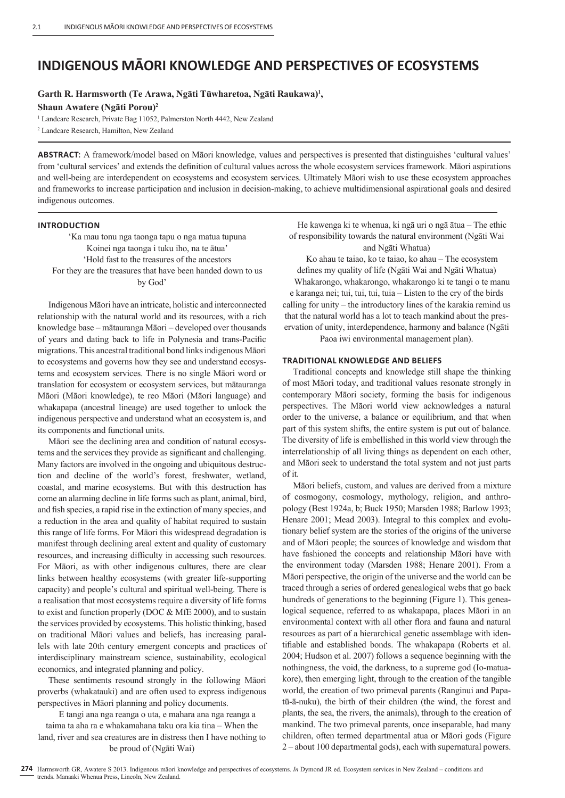# **INDIGENOUS MĀORI KNOWLEDGE AND PERSPECTIVES OF ECOSYSTEMS**

**Garth R. Harmsworth (Te Arawa, Ngāti Tūwharetoa, Ngāti Raukawa)1 ,** 

**Shaun Awatere (Ngāti Porou)2**

<sup>1</sup> Landcare Research, Private Bag 11052, Palmerston North 4442, New Zealand

2 Landcare Research, Hamilton, New Zealand

**ABSTRACT**: A framework/model based on Māori knowledge, values and perspectives is presented that distinguishes 'cultural values' from 'cultural services' and extends the definition of cultural values across the whole ecosystem services framework. Māori aspirations and well-being are interdependent on ecosystems and ecosystem services. Ultimately Māori wish to use these ecosystem approaches and frameworks to increase participation and inclusion in decision-making, to achieve multidimensional aspirational goals and desired indigenous outcomes.

## **INTRODUCTION**

'Ka mau tonu nga taonga tapu o nga matua tupuna Koinei nga taonga i tuku iho, na te ātua' 'Hold fast to the treasures of the ancestors For they are the treasures that have been handed down to us by God'

Indigenous Māori have an intricate, holistic and interconnected relationship with the natural world and its resources, with a rich knowledge base – mātauranga Māori – developed over thousands of years and dating back to life in Polynesia and trans-Pacific migrations. This ancestral traditional bond links indigenous Māori to ecosystems and governs how they see and understand ecosystems and ecosystem services. There is no single Māori word or translation for ecosystem or ecosystem services, but mātauranga Māori (Māori knowledge), te reo Māori (Māori language) and whakapapa (ancestral lineage) are used together to unlock the indigenous perspective and understand what an ecosystem is, and its components and functional units.

Māori see the declining area and condition of natural ecosystems and the services they provide as significant and challenging. Many factors are involved in the ongoing and ubiquitous destruction and decline of the world's forest, freshwater, wetland, coastal, and marine ecosystems. But with this destruction has come an alarming decline in life forms such as plant, animal, bird, and fish species, a rapid rise in the extinction of many species, and a reduction in the area and quality of habitat required to sustain this range of life forms. For Māori this widespread degradation is manifest through declining areal extent and quality of customary resources, and increasing difficulty in accessing such resources. For Māori, as with other indigenous cultures, there are clear links between healthy ecosystems (with greater life-supporting capacity) and people's cultural and spiritual well-being. There is a realisation that most ecosystems require a diversity of life forms to exist and function properly (DOC & MfE 2000), and to sustain the services provided by ecosystems. This holistic thinking, based on traditional Māori values and beliefs, has increasing parallels with late 20th century emergent concepts and practices of interdisciplinary mainstream science, sustainability, ecological economics, and integrated planning and policy.

These sentiments resound strongly in the following Māori proverbs (whakatauki) and are often used to express indigenous perspectives in Māori planning and policy documents.

E tangi ana nga reanga o uta, e mahara ana nga reanga a taima ta aha ra e whakamahana taku ora kia tina – When the land, river and sea creatures are in distress then I have nothing to be proud of (Ngāti Wai)

He kawenga ki te whenua, ki ngā uri o ngā ātua – The ethic of responsibility towards the natural environment (Ngāti Wai and Ngāti Whatua)

Ko ahau te taiao, ko te taiao, ko ahau – The ecosystem defines my quality of life (Ngāti Wai and Ngāti Whatua)

Whakarongo, whakarongo, whakarongo ki te tangi o te manu e karanga nei; tui, tui, tui, tuia – Listen to the cry of the birds calling for unity – the introductory lines of the karakia remind us that the natural world has a lot to teach mankind about the preservation of unity, interdependence, harmony and balance (Ngāti Paoa iwi environmental management plan).

# **TRADITIONAL KNOWLEDGE AND BELIEFS**

Traditional concepts and knowledge still shape the thinking of most Māori today, and traditional values resonate strongly in contemporary Māori society, forming the basis for indigenous perspectives. The Māori world view acknowledges a natural order to the universe, a balance or equilibrium, and that when part of this system shifts, the entire system is put out of balance. The diversity of life is embellished in this world view through the interrelationship of all living things as dependent on each other, and Māori seek to understand the total system and not just parts of it.

Māori beliefs, custom, and values are derived from a mixture of cosmogony, cosmology, mythology, religion, and anthropology (Best 1924a, b; Buck 1950; Marsden 1988; Barlow 1993; Henare 2001; Mead 2003). Integral to this complex and evolutionary belief system are the stories of the origins of the universe and of Māori people; the sources of knowledge and wisdom that have fashioned the concepts and relationship Māori have with the environment today (Marsden 1988; Henare 2001). From a Māori perspective, the origin of the universe and the world can be traced through a series of ordered genealogical webs that go back hundreds of generations to the beginning (Figure 1). This genealogical sequence, referred to as whakapapa, places Māori in an environmental context with all other flora and fauna and natural resources as part of a hierarchical genetic assemblage with identifiable and established bonds. The whakapapa (Roberts et al. 2004; Hudson et al. 2007) follows a sequence beginning with the nothingness, the void, the darkness, to a supreme god (Io-matuakore), then emerging light, through to the creation of the tangible world, the creation of two primeval parents (Ranginui and Papatū-ā-nuku), the birth of their children (the wind, the forest and plants, the sea, the rivers, the animals), through to the creation of mankind. The two primeval parents, once inseparable, had many children, often termed departmental atua or Māori gods (Figure 2 – about 100 departmental gods), each with supernatural powers.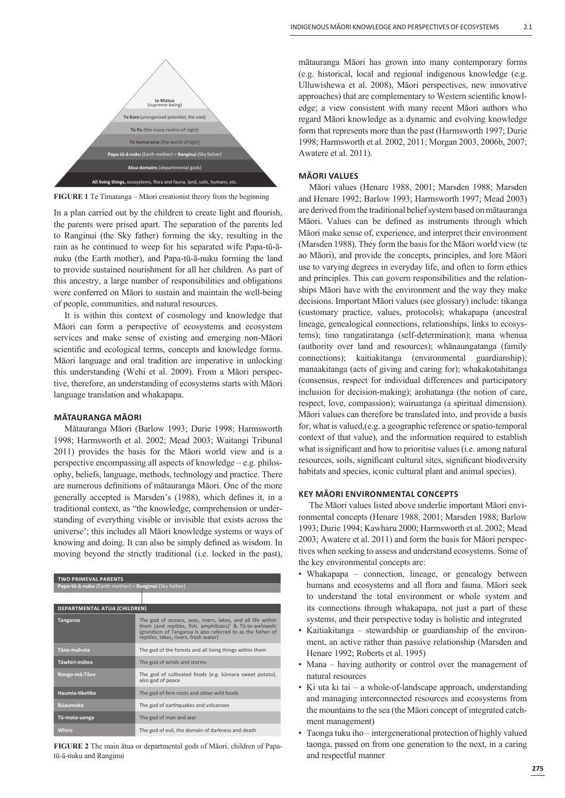

**FIGURE 1** Te Timatanga – Māori creationist theory from the beginning

In a plan carried out by the children to create light and flourish, the parents were prised apart. The separation of the parents led to Ranginui (the Sky father) forming the sky, resulting in the rain as he continued to weep for his separated wife Papa-tū-ānuku (the Earth mother), and Papa-tū-ā-nuku forming the land to provide sustained nourishment for all her children. As part of this ancestry, a large number of responsibilities and obligations were conferred on Māori to sustain and maintain the well-being of people, communities, and natural resources.

It is within this context of cosmology and knowledge that Māori can form a perspective of ecosystems and ecosystem services and make sense of existing and emerging non-Māori scientific and ecological terms, concepts and knowledge forms. Māori language and oral tradition are imperative in unlocking this understanding (Wehi et al. 2009). From a Māori perspective, therefore, an understanding of ecosystems starts with Māori language translation and whakapapa.

## **MĀTAURANGA MĀORI**

Mātauranga Māori (Barlow 1993; Durie 1998; Harmsworth 1998; Harmsworth et al. 2002; Mead 2003; Waitangi Tribunal 2011) provides the basis for the Māori world view and is a perspective encompassing all aspects of knowledge – e.g. philosophy, beliefs, language, methods, technology and practice. There are numerous definitions of mātauranga Māori. One of the more generally accepted is Marsden's (1988), which defines it, in a traditional context, as "the knowledge, comprehension or understanding of everything visible or invisible that exists across the universe'; this includes all Māori knowledge systems or ways of knowing and doing. It can also be simply defined as wisdom. In moving beyond the strictly traditional (i.e. locked in the past),

| <b>TWO PRIMEVAL PARENTS</b>                           |                                                                                                                                                                                                                               |  |
|-------------------------------------------------------|-------------------------------------------------------------------------------------------------------------------------------------------------------------------------------------------------------------------------------|--|
| Papa-tū-ā-nuku (Earth mother) = Ranginui (Sky father) |                                                                                                                                                                                                                               |  |
|                                                       |                                                                                                                                                                                                                               |  |
| DEPARTMENTAL ATUA (CHILDREN)                          |                                                                                                                                                                                                                               |  |
| <b>Tangaroa</b>                                       | The god of oceans, seas, rivers, lakes, and all life within<br>them (and reptiles, fish, amphibians)' & Tū-te-wehiwehi<br>(grandson of Tangaroa is also referred to as the father of<br>reptiles, lakes, rivers, fresh water) |  |
| Tāne-mahuta                                           | The god of the forests and all living things within them                                                                                                                                                                      |  |
| Tāwhiri-mātea                                         | The god of winds and storms                                                                                                                                                                                                   |  |
| Rongo-mā-Tāne                                         | The god of cultivated foods (e.g. kūmara sweet potato),<br>also god of peace                                                                                                                                                  |  |
| Haumia-tiketike                                       | The god of fern roots and other wild foods                                                                                                                                                                                    |  |
| Rūaumoko                                              | The god of earthquakes and volcanoes                                                                                                                                                                                          |  |
| Tū-mata-uenga                                         | The god of man and war                                                                                                                                                                                                        |  |
| <b>Whiro</b>                                          | The god of evil, the domain of darkness and death                                                                                                                                                                             |  |

**FIGURE 2** The main ātua or departmental gods of Māori, children of Papatū-ā-nuku and Ranginui

mātauranga Māori has grown into many contemporary forms (e.g. historical, local and regional indigenous knowledge (e.g. Ulluwishewa et al. 2008), Māori perspectives, new innovative approaches) that are complementary to Western scientific knowledge; a view consistent with many recent Māori authors who regard Māori knowledge as a dynamic and evolving knowledge form that represents more than the past (Harmsworth 1997; Durie 1998; Harmsworth et al. 2002, 2011; Morgan 2003, 2006b, 2007; Awatere et al. 2011).

### **MĀORI VALUES**

Māori values (Henare 1988, 2001; Marsden 1988; Marsden and Henare 1992; Barlow 1993; Harmsworth 1997; Mead 2003) are derived from the traditional belief system based on mātauranga Māori. Values can be defined as instruments through which Māori make sense of, experience, and interpret their environment (Marsden 1988). They form the basis for the Māori world view (te ao Māori), and provide the concepts, principles, and lore Māori use to varying degrees in everyday life, and often to form ethics and principles. This can govern responsibilities and the relationships Māori have with the environment and the way they make decisions. Important Māori values (see glossary) include: tikanga (customary practice, values, protocols); whakapapa (ancestral lineage, genealogical connections, relationships, links to ecosystems); tino rangatiratanga (self-determination); mana whenua (authority over land and resources); whānaungatanga (family connections); kaitiakitanga (environmental guardianship); manaakitanga (acts of giving and caring for); whakakotahitanga (consensus, respect for individual differences and participatory inclusion for decision-making); arohatanga (the notion of care, respect, love, compassion); wairuatanga (a spiritual dimension). Māori values can therefore be translated into, and provide a basis for, what is valued,(e.g. a geographic reference or spatio-temporal context of that value), and the information required to establish what is significant and how to prioritise values (i.e. among natural resources, soils, significant cultural sites, significant biodiversity habitats and species, iconic cultural plant and animal species).

## **KEY MĀORI ENVIRONMENTAL CONCEPTS**

The Māori values listed above underlie important Māori environmental concepts (Henare 1988, 2001; Marsden 1988; Barlow 1993; Durie 1994; Kawharu 2000; Harmsworth et al. 2002; Mead 2003; Awatere et al. 2011) and form the basis for Māori perspectives when seeking to assess and understand ecosystems. Some of the key environmental concepts are:

- Whakapapa connection, lineage, or genealogy between humans and ecosystems and all flora and fauna. Māori seek to understand the total environment or whole system and its connections through whakapapa, not just a part of these systems, and their perspective today is holistic and integrated
- Kaitiakitanga stewardship or guardianship of the environment, an active rather than passive relationship (Marsden and Henare 1992; Roberts et al. 1995)
- Mana having authority or control over the management of natural resources
- Ki uta ki tai a whole-of-landscape approach, understanding and managing interconnected resources and ecosystems from the mountains to the sea (the Māori concept of integrated catchment management)
- Taonga tuku iho intergenerational protection of highly valued taonga, passed on from one generation to the next, in a caring and respectful manner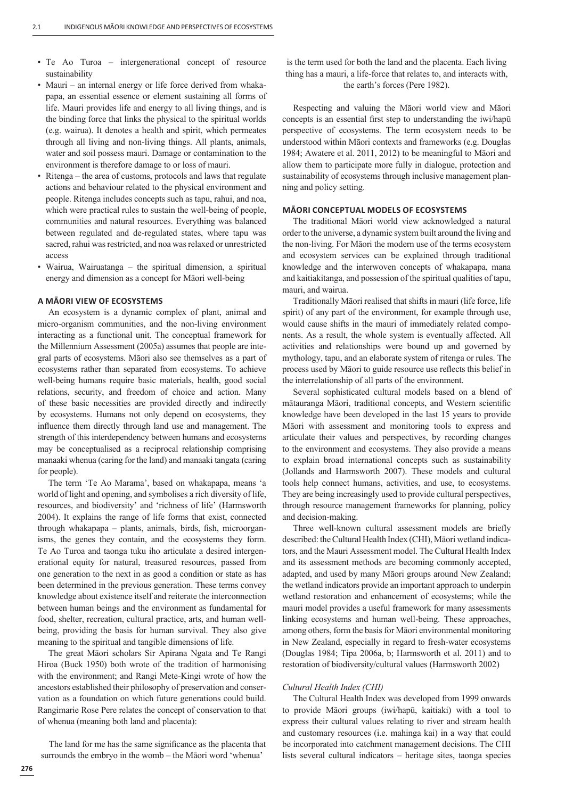- Te Ao Turoa intergenerational concept of resource sustainability
- Mauri an internal energy or life force derived from whakapapa, an essential essence or element sustaining all forms of life. Mauri provides life and energy to all living things, and is the binding force that links the physical to the spiritual worlds (e.g. wairua). It denotes a health and spirit, which permeates through all living and non-living things. All plants, animals, water and soil possess mauri. Damage or contamination to the environment is therefore damage to or loss of mauri.
- Ritenga the area of customs, protocols and laws that regulate actions and behaviour related to the physical environment and people. Ritenga includes concepts such as tapu, rahui, and noa, which were practical rules to sustain the well-being of people, communities and natural resources. Everything was balanced between regulated and de-regulated states, where tapu was sacred, rahui was restricted, and noa was relaxed or unrestricted access
- Wairua, Wairuatanga the spiritual dimension, a spiritual energy and dimension as a concept for Māori well-being

## **A MĀORI VIEW OF ECOSYSTEMS**

An ecosystem is a dynamic complex of plant, animal and micro-organism communities, and the non-living environment interacting as a functional unit. The conceptual framework for the Millennium Assessment (2005a) assumes that people are integral parts of ecosystems. Māori also see themselves as a part of ecosystems rather than separated from ecosystems. To achieve well-being humans require basic materials, health, good social relations, security, and freedom of choice and action. Many of these basic necessities are provided directly and indirectly by ecosystems. Humans not only depend on ecosystems, they influence them directly through land use and management. The strength of this interdependency between humans and ecosystems may be conceptualised as a reciprocal relationship comprising manaaki whenua (caring for the land) and manaaki tangata (caring for people).

The term 'Te Ao Marama', based on whakapapa, means 'a world of light and opening, and symbolises a rich diversity of life, resources, and biodiversity' and 'richness of life' (Harmsworth 2004). It explains the range of life forms that exist, connected through whakapapa – plants, animals, birds, fish, microorganisms, the genes they contain, and the ecosystems they form. Te Ao Turoa and taonga tuku iho articulate a desired intergenerational equity for natural, treasured resources, passed from one generation to the next in as good a condition or state as has been determined in the previous generation. These terms convey knowledge about existence itself and reiterate the interconnection between human beings and the environment as fundamental for food, shelter, recreation, cultural practice, arts, and human wellbeing, providing the basis for human survival. They also give meaning to the spiritual and tangible dimensions of life.

The great Māori scholars Sir Apirana Ngata and Te Rangi Hiroa (Buck 1950) both wrote of the tradition of harmonising with the environment; and Rangi Mete-Kingi wrote of how the ancestors established their philosophy of preservation and conservation as a foundation on which future generations could build. Rangimarie Rose Pere relates the concept of conservation to that of whenua (meaning both land and placenta):

The land for me has the same significance as the placenta that surrounds the embryo in the womb – the Māori word 'whenua'

is the term used for both the land and the placenta. Each living thing has a mauri, a life-force that relates to, and interacts with, the earth's forces (Pere 1982).

Respecting and valuing the Māori world view and Māori concepts is an essential first step to understanding the iwi/hapū perspective of ecosystems. The term ecosystem needs to be understood within Māori contexts and frameworks (e.g. Douglas 1984; Awatere et al. 2011, 2012) to be meaningful to Māori and allow them to participate more fully in dialogue, protection and sustainability of ecosystems through inclusive management planning and policy setting.

## **MĀORI CONCEPTUAL MODELS OF ECOSYSTEMS**

The traditional Māori world view acknowledged a natural order to the universe, a dynamic system built around the living and the non-living. For Māori the modern use of the terms ecosystem and ecosystem services can be explained through traditional knowledge and the interwoven concepts of whakapapa, mana and kaitiakitanga, and possession of the spiritual qualities of tapu, mauri, and wairua.

Traditionally Māori realised that shifts in mauri (life force, life spirit) of any part of the environment, for example through use, would cause shifts in the mauri of immediately related components. As a result, the whole system is eventually affected. All activities and relationships were bound up and governed by mythology, tapu, and an elaborate system of ritenga or rules. The process used by Māori to guide resource use reflects this belief in the interrelationship of all parts of the environment.

Several sophisticated cultural models based on a blend of mātauranga Māori, traditional concepts, and Western scientific knowledge have been developed in the last 15 years to provide Māori with assessment and monitoring tools to express and articulate their values and perspectives, by recording changes to the environment and ecosystems. They also provide a means to explain broad international concepts such as sustainability (Jollands and Harmsworth 2007). These models and cultural tools help connect humans, activities, and use, to ecosystems. They are being increasingly used to provide cultural perspectives, through resource management frameworks for planning, policy and decision-making.

Three well-known cultural assessment models are briefly described: the Cultural Health Index (CHI), Māori wetland indicators, and the Mauri Assessment model. The Cultural Health Index and its assessment methods are becoming commonly accepted, adapted, and used by many Māori groups around New Zealand; the wetland indicators provide an important approach to underpin wetland restoration and enhancement of ecosystems; while the mauri model provides a useful framework for many assessments linking ecosystems and human well-being. These approaches, among others, form the basis for Māori environmental monitoring in New Zealand, especially in regard to fresh-water ecosystems (Douglas 1984; Tipa 2006a, b; Harmsworth et al. 2011) and to restoration of biodiversity/cultural values (Harmsworth 2002)

#### *Cultural Health Index (CHI)*

The Cultural Health Index was developed from 1999 onwards to provide Māori groups (iwi/hapū, kaitiaki) with a tool to express their cultural values relating to river and stream health and customary resources (i.e. mahinga kai) in a way that could be incorporated into catchment management decisions. The CHI lists several cultural indicators – heritage sites, taonga species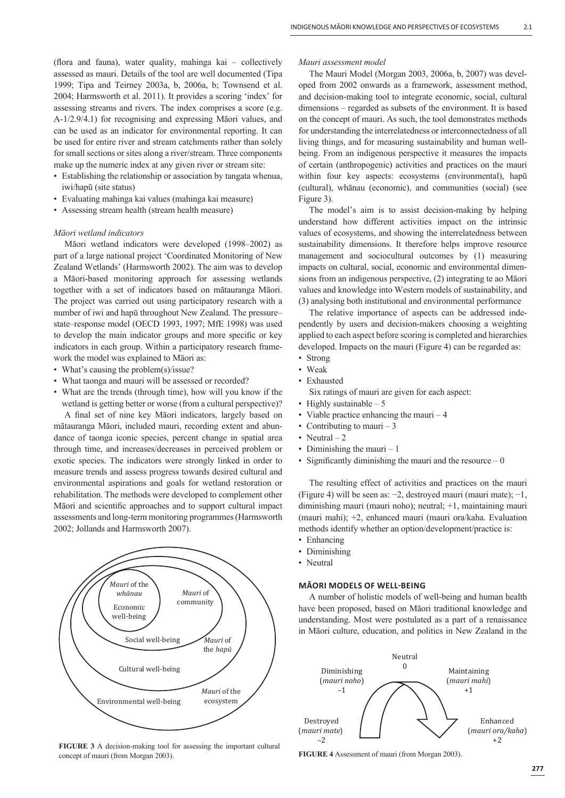(flora and fauna), water quality, mahinga kai  $-$  collectively assessed as mauri. Details of the tool are well documented (Tipa 1999; Tipa and Teirney 2003a, b, 2006a, b; Townsend et al. 2004; Harmsworth et al. 2011). It provides a scoring 'index' for assessing streams and rivers. The index comprises a score (e.g. A-1/2.9/4.1) for recognising and expressing Māori values, and can be used as an indicator for environmental reporting. It can be used for entire river and stream catchments rather than solely for small sections or sites along a river/stream. Three components make up the numeric index at any given river or stream site:

- Establishing the relationship or association by tangata whenua, iwi/hapū (site status)
- Evaluating mahinga kai values (mahinga kai measure)
- Assessing stream health (stream health measure)

## *Māori wetland indicators*

Māori wetland indicators were developed (1998–2002) as part of a large national project 'Coordinated Monitoring of New Zealand Wetlands' (Harmsworth 2002). The aim was to develop a Māori-based monitoring approach for assessing wetlands together with a set of indicators based on mātauranga Māori. The project was carried out using participatory research with a number of iwi and hapū throughout New Zealand. The pressure– state–response model (OECD 1993, 1997; MfE 1998) was used to develop the main indicator groups and more specific or key indicators in each group. Within a participatory research framework the model was explained to Māori as:

- What's causing the problem(s)/issue?
- What taonga and mauri will be assessed or recorded?
- What are the trends (through time), how will you know if the wetland is getting better or worse (from a cultural perspective)?

A final set of nine key Māori indicators, largely based on mātauranga Māori, included mauri, recording extent and abundance of taonga iconic species, percent change in spatial area through time, and increases/decreases in perceived problem or exotic species. The indicators were strongly linked in order to measure trends and assess progress towards desired cultural and environmental aspirations and goals for wetland restoration or rehabilitation. The methods were developed to complement other Māori and scientific approaches and to support cultural impact assessments and long-term monitoring programmes (Harmsworth 2002; Jollands and Harmsworth 2007).



**FIGURE 3** A decision-making tool for assessing the important cultural concept of mauri (from Morgan 2003).

#### *Mauri assessment model*

The Mauri Model (Morgan 2003, 2006a, b, 2007) was developed from 2002 onwards as a framework, assessment method, and decision-making tool to integrate economic, social, cultural dimensions – regarded as subsets of the environment. It is based on the concept of mauri. As such, the tool demonstrates methods for understanding the interrelatedness or interconnectedness of all living things, and for measuring sustainability and human wellbeing. From an indigenous perspective it measures the impacts of certain (anthropogenic) activities and practices on the mauri within four key aspects: ecosystems (environmental), hapū (cultural), whānau (economic), and communities (social) (see Figure 3).

The model's aim is to assist decision-making by helping understand how different activities impact on the intrinsic values of ecosystems, and showing the interrelatedness between sustainability dimensions. It therefore helps improve resource management and sociocultural outcomes by (1) measuring impacts on cultural, social, economic and environmental dimensions from an indigenous perspective, (2) integrating te ao Māori values and knowledge into Western models of sustainability, and (3) analysing both institutional and environmental performance

The relative importance of aspects can be addressed independently by users and decision-makers choosing a weighting applied to each aspect before scoring is completed and hierarchies developed. Impacts on the mauri (Figure 4) can be regarded as:

- Strong
- Weak
- Exhausted

Six ratings of mauri are given for each aspect:

- Highly sustainable  $-5$
- Viable practice enhancing the mauri 4
- Contributing to mauri  $-3$
- Neutral  $-2$
- Diminishing the mauri  $-1$
- Significantly diminishing the mauri and the resource  $-0$

The resulting effect of activities and practices on the mauri (Figure 4) will be seen as: −2, destroyed mauri (mauri mate); −1, diminishing mauri (mauri noho); neutral; +1, maintaining mauri (mauri mahi); +2, enhanced mauri (mauri ora/kaha. Evaluation methods identify whether an option/development/practice is:

- Enhancing
- Diminishing
- Neutral

# **MĀORI MODELS OF WELL-BEING**

A number of holistic models of well-being and human health have been proposed, based on Māori traditional knowledge and understanding. Most were postulated as a part of a renaissance in Māori culture, education, and politics in New Zealand in the



**FIGURE 4** Assessment of mauri (from Morgan 2003).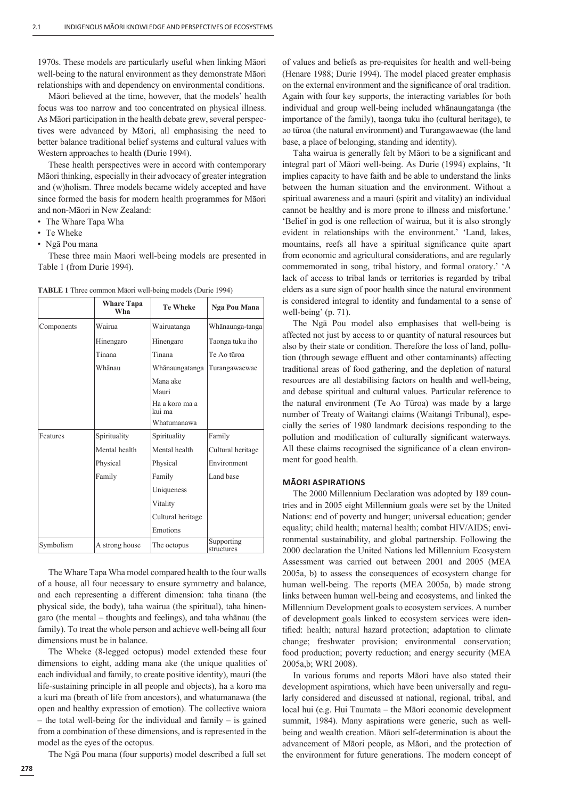1970s. These models are particularly useful when linking Māori well-being to the natural environment as they demonstrate Māori relationships with and dependency on environmental conditions.

Māori believed at the time, however, that the models' health focus was too narrow and too concentrated on physical illness. As Māori participation in the health debate grew, several perspectives were advanced by Māori, all emphasising the need to better balance traditional belief systems and cultural values with Western approaches to health (Durie 1994).

These health perspectives were in accord with contemporary Māori thinking, especially in their advocacy of greater integration and (w)holism. Three models became widely accepted and have since formed the basis for modern health programmes for Māori and non-Māori in New Zealand:

- The Whare Tapa Wha
- Te Wheke
- Ngā Pou mana

These three main Maori well-being models are presented in Table 1 (from Durie 1994).

| <b>TABLE 1</b> Three common Matori well-being models (Durie 1994) |  |  |  |
|-------------------------------------------------------------------|--|--|--|
|-------------------------------------------------------------------|--|--|--|

|            | <b>Whare Tapa</b><br>Wha | <b>Te Wheke</b>          | Nga Pou Mana             |
|------------|--------------------------|--------------------------|--------------------------|
| Components | Wairua                   | Wairuatanga              | Whānaunga-tanga          |
|            | Hinengaro                | Hinengaro                | Taonga tuku iho          |
|            | Tinana                   | Tinana                   | Te Ao tūroa              |
|            | Whanau                   | Whānaungatanga           | Turangawaewae            |
|            |                          | Mana ake<br>Mauri        |                          |
|            |                          | Ha a koro ma a<br>kui ma |                          |
|            |                          | Whatumanawa              |                          |
| Features   | Spirituality             | Spirituality             | Family                   |
|            | Mental health            | Mental health            | Cultural heritage        |
|            | Physical                 | Physical                 | Environment              |
|            | Family                   | Family                   | Land base                |
|            |                          | Uniqueness               |                          |
|            |                          | Vitality                 |                          |
|            |                          | Cultural heritage        |                          |
|            |                          | Emotions                 |                          |
| Symbolism  | A strong house           | The octopus              | Supporting<br>structures |

The Whare Tapa Wha model compared health to the four walls of a house, all four necessary to ensure symmetry and balance, and each representing a different dimension: taha tinana (the physical side, the body), taha wairua (the spiritual), taha hinengaro (the mental – thoughts and feelings), and taha whānau (the family). To treat the whole person and achieve well-being all four dimensions must be in balance.

The Wheke (8-legged octopus) model extended these four dimensions to eight, adding mana ake (the unique qualities of each individual and family, to create positive identity), mauri (the life-sustaining principle in all people and objects), ha a koro ma a kuri ma (breath of life from ancestors), and whatumanawa (the open and healthy expression of emotion). The collective waiora – the total well-being for the individual and family – is gained from a combination of these dimensions, and is represented in the model as the eyes of the octopus.

The Ngā Pou mana (four supports) model described a full set

of values and beliefs as pre-requisites for health and well-being (Henare 1988; Durie 1994). The model placed greater emphasis on the external environment and the significance of oral tradition. Again with four key supports, the interacting variables for both individual and group well-being included whānaungatanga (the importance of the family), taonga tuku iho (cultural heritage), te ao tūroa (the natural environment) and Turangawaewae (the land base, a place of belonging, standing and identity).

Taha wairua is generally felt by Māori to be a significant and integral part of Māori well-being. As Durie (1994) explains, 'It implies capacity to have faith and be able to understand the links between the human situation and the environment. Without a spiritual awareness and a mauri (spirit and vitality) an individual cannot be healthy and is more prone to illness and misfortune.' 'Belief in god is one reflection of wairua, but it is also strongly evident in relationships with the environment.' 'Land, lakes, mountains, reefs all have a spiritual significance quite apart from economic and agricultural considerations, and are regularly commemorated in song, tribal history, and formal oratory.' 'A lack of access to tribal lands or territories is regarded by tribal elders as a sure sign of poor health since the natural environment is considered integral to identity and fundamental to a sense of well-being' (p. 71).

The Ngā Pou model also emphasises that well-being is affected not just by access to or quantity of natural resources but also by their state or condition. Therefore the loss of land, pollution (through sewage effluent and other contaminants) affecting traditional areas of food gathering, and the depletion of natural resources are all destabilising factors on health and well-being, and debase spiritual and cultural values. Particular reference to the natural environment (Te Ao Tūroa) was made by a large number of Treaty of Waitangi claims (Waitangi Tribunal), especially the series of 1980 landmark decisions responding to the pollution and modification of culturally significant waterways. All these claims recognised the significance of a clean environment for good health.

## **MĀORI ASPIRATIONS**

The 2000 Millennium Declaration was adopted by 189 countries and in 2005 eight Millennium goals were set by the United Nations: end of poverty and hunger; universal education; gender equality; child health; maternal health; combat HIV/AIDS; environmental sustainability, and global partnership. Following the 2000 declaration the United Nations led Millennium Ecosystem Assessment was carried out between 2001 and 2005 (MEA 2005a, b) to assess the consequences of ecosystem change for human well-being. The reports (MEA 2005a, b) made strong links between human well-being and ecosystems, and linked the Millennium Development goals to ecosystem services. A number of development goals linked to ecosystem services were identified: health; natural hazard protection; adaptation to climate change; freshwater provision; environmental conservation; food production; poverty reduction; and energy security (MEA 2005a,b; WRI 2008).

In various forums and reports Māori have also stated their development aspirations, which have been universally and regularly considered and discussed at national, regional, tribal, and local hui (e.g. Hui Taumata – the Māori economic development summit, 1984). Many aspirations were generic, such as wellbeing and wealth creation. Māori self-determination is about the advancement of Māori people, as Māori, and the protection of the environment for future generations. The modern concept of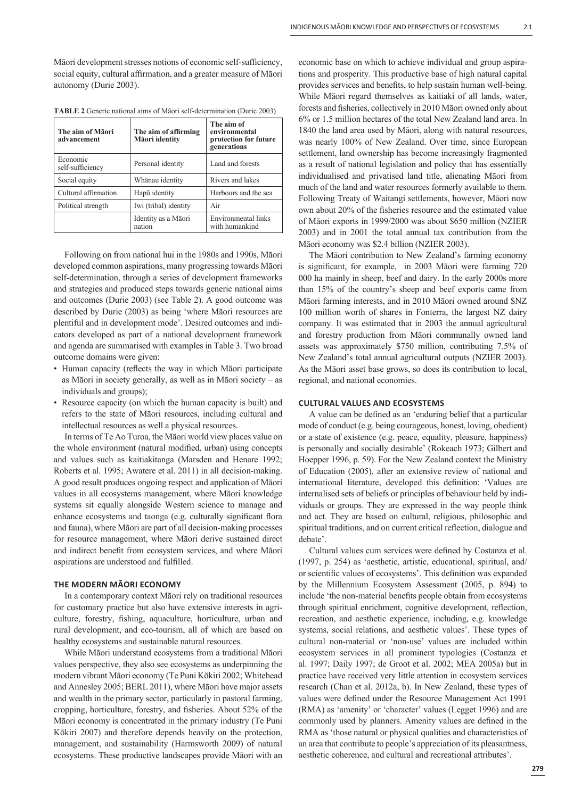Māori development stresses notions of economic self-sufficiency, social equity, cultural affirmation, and a greater measure of Māori autonomy (Durie 2003).

| The aim of Māori<br>advancement | The aim of affirming<br>Māori identity | The aim of<br>environmental<br>protection for future<br>generations |
|---------------------------------|----------------------------------------|---------------------------------------------------------------------|
| Economic<br>self-sufficiency    | Personal identity                      | Land and forests                                                    |
| Social equity                   | Whānau identity                        | Rivers and lakes                                                    |
| Cultural affirmation            | Hapū identity                          | Harbours and the sea                                                |
| Political strength              | Iwi (tribal) identity                  | Air                                                                 |
|                                 | Identity as a Māori<br>nation          | Environmental links<br>with humankind                               |

**TABLE 2** Generic national aims of Māori self-determination (Durie 2003)

Following on from national hui in the 1980s and 1990s, Māori developed common aspirations, many progressing towards Māori self-determination, through a series of development frameworks and strategies and produced steps towards generic national aims and outcomes (Durie 2003) (see Table 2). A good outcome was described by Durie (2003) as being 'where Māori resources are plentiful and in development mode'. Desired outcomes and indicators developed as part of a national development framework and agenda are summarised with examples in Table 3. Two broad outcome domains were given:

- Human capacity (reflects the way in which Māori participate as Māori in society generally, as well as in Māori society – as individuals and groups);
- Resource capacity (on which the human capacity is built) and refers to the state of Māori resources, including cultural and intellectual resources as well a physical resources.

In terms of Te Ao Turoa, the Māori world view places value on the whole environment (natural modified, urban) using concepts and values such as kaitiakitanga (Marsden and Henare 1992; Roberts et al. 1995; Awatere et al. 2011) in all decision-making. A good result produces ongoing respect and application of Māori values in all ecosystems management, where Māori knowledge systems sit equally alongside Western science to manage and enhance ecosystems and taonga (e.g. culturally significant flora and fauna), where Māori are part of all decision-making processes for resource management, where Māori derive sustained direct and indirect benefit from ecosystem services, and where Māori aspirations are understood and fulfilled.

# **THE MODERN MĀORI ECONOMY**

In a contemporary context Māori rely on traditional resources for customary practice but also have extensive interests in agriculture, forestry, fishing, aquaculture, horticulture, urban and rural development, and eco-tourism, all of which are based on healthy ecosystems and sustainable natural resources.

While Māori understand ecosystems from a traditional Māori values perspective, they also see ecosystems as underpinning the modern vibrant Māori economy (Te Puni Kōkiri 2002; Whitehead and Annesley 2005; BERL 2011), where Māori have major assets and wealth in the primary sector, particularly in pastoral farming, cropping, horticulture, forestry, and fisheries. About 52% of the Māori economy is concentrated in the primary industry (Te Puni Kōkiri 2007) and therefore depends heavily on the protection, management, and sustainability (Harmsworth 2009) of natural ecosystems. These productive landscapes provide Māori with an economic base on which to achieve individual and group aspirations and prosperity. This productive base of high natural capital provides services and benefits, to help sustain human well-being. While Māori regard themselves as kaitiaki of all lands, water, forests and fisheries, collectively in 2010 Māori owned only about 6% or 1.5 million hectares of the total New Zealand land area. In 1840 the land area used by Māori, along with natural resources, was nearly 100% of New Zealand. Over time, since European settlement, land ownership has become increasingly fragmented as a result of national legislation and policy that has essentially individualised and privatised land title, alienating Māori from much of the land and water resources formerly available to them. Following Treaty of Waitangi settlements, however, Māori now own about 20% of the fisheries resource and the estimated value of Māori exports in 1999/2000 was about \$650 million (NZIER 2003) and in 2001 the total annual tax contribution from the Māori economy was \$2.4 billion (NZIER 2003).

The Māori contribution to New Zealand's farming economy is significant, for example, in 2003 Māori were farming 720 000 ha mainly in sheep, beef and dairy. In the early 2000s more than 15% of the country's sheep and beef exports came from Māori farming interests, and in 2010 Māori owned around \$NZ 100 million worth of shares in Fonterra, the largest NZ dairy company. It was estimated that in 2003 the annual agricultural and forestry production from Māori communally owned land assets was approximately \$750 million, contributing 7.5% of New Zealand's total annual agricultural outputs (NZIER 2003). As the Māori asset base grows, so does its contribution to local, regional, and national economies.

## **CULTURAL VALUES AND ECOSYSTEMS**

A value can be defined as an 'enduring belief that a particular mode of conduct (e.g. being courageous, honest, loving, obedient) or a state of existence (e.g. peace, equality, pleasure, happiness) is personally and socially desirable' (Rokeach 1973; Gilbert and Hoepper 1996, p. 59). For the New Zealand context the Ministry of Education (2005), after an extensive review of national and international literature, developed this definition: 'Values are internalised sets of beliefs or principles of behaviour held by individuals or groups. They are expressed in the way people think and act. They are based on cultural, religious, philosophic and spiritual traditions, and on current critical reflection, dialogue and debate'.

Cultural values cum services were defined by Costanza et al. (1997, p. 254) as 'aesthetic, artistic, educational, spiritual, and/ or scientific values of ecosystems'. This definition was expanded by the Millennium Ecosystem Assessment (2005, p. 894) to include 'the non-material benefits people obtain from ecosystems through spiritual enrichment, cognitive development, reflection, recreation, and aesthetic experience, including, e.g. knowledge systems, social relations, and aesthetic values'. These types of cultural non-material or 'non-use' values are included within ecosystem services in all prominent typologies (Costanza et al. 1997; Daily 1997; de Groot et al. 2002; MEA 2005a) but in practice have received very little attention in ecosystem services research (Chan et al. 2012a, b). In New Zealand, these types of values were defined under the Resource Management Act 1991 (RMA) as 'amenity' or 'character' values (Legget 1996) and are commonly used by planners. Amenity values are defined in the RMA as 'those natural or physical qualities and characteristics of an area that contribute to people's appreciation of its pleasantness, aesthetic coherence, and cultural and recreational attributes'.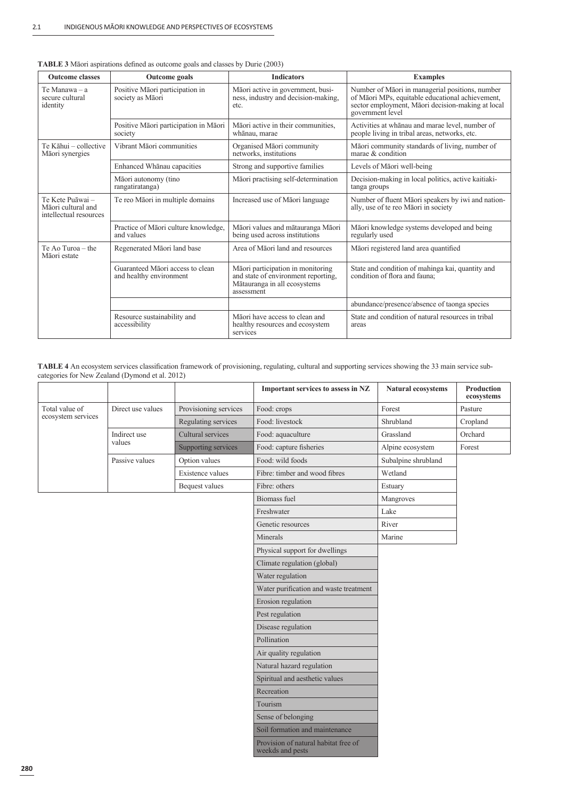| <b>Outcome classes</b>                                           | <b>Outcome</b> goals                                        | <b>Indicators</b>                                                                                                      | <b>Examples</b>                                                                                                                                                              |
|------------------------------------------------------------------|-------------------------------------------------------------|------------------------------------------------------------------------------------------------------------------------|------------------------------------------------------------------------------------------------------------------------------------------------------------------------------|
| Te Manawa – a<br>secure cultural<br>identity                     | Positive Māori participation in<br>society as Māori         | Māori active in government, busi-<br>ness, industry and decision-making,<br>etc.                                       | Number of Māori in managerial positions, number<br>of Māori MPs, equitable educational achievement,<br>sector employment, Māori decision-making at local<br>government level |
|                                                                  | Positive Māori participation in Māori<br>society            | Māori active in their communities.<br>whānau, marae                                                                    | Activities at whanau and marae level, number of<br>people living in tribal areas, networks, etc.                                                                             |
| Te Kāhui - collective<br>Māori synergies                         | Vibrant Māori communities                                   | Organised Māori community<br>networks, institutions                                                                    | Māori community standards of living, number of<br>marae & condition                                                                                                          |
|                                                                  | Enhanced Whanau capacities                                  | Strong and supportive families                                                                                         | Levels of Māori well-being                                                                                                                                                   |
|                                                                  | Māori autonomy (tino<br>rangatiratanga)                     | Māori practising self-determination                                                                                    | Decision-making in local politics, active kaitiaki-<br>tanga groups                                                                                                          |
| Te Kete Puāwai -<br>Māori cultural and<br>intellectual resources | Te reo Māori in multiple domains                            | Increased use of Māori language                                                                                        | Number of fluent Maori speakers by iwi and nation-<br>ally, use of te reo Māori in society                                                                                   |
|                                                                  | Practice of Māori culture knowledge,<br>and values          | Māori values and mātauranga Māori<br>being used across institutions                                                    | Māori knowledge systems developed and being<br>regularly used                                                                                                                |
| Te Ao Turoa – the<br>Māori estate                                | Regenerated Māori land base                                 | Area of Māori land and resources                                                                                       | Māori registered land area quantified                                                                                                                                        |
|                                                                  | Guaranteed Māori access to clean<br>and healthy environment | Māori participation in monitoring<br>and state of environment reporting,<br>Mātauranga in all ecosystems<br>assessment | State and condition of mahinga kai, quantity and<br>condition of flora and fauna:                                                                                            |
|                                                                  |                                                             |                                                                                                                        | abundance/presence/absence of taonga species                                                                                                                                 |
|                                                                  | Resource sustainability and<br>accessibility                | Māori have access to clean and<br>healthy resources and ecosystem<br>services                                          | State and condition of natural resources in tribal<br>areas                                                                                                                  |

| TABLE 3 Māori aspirations defined as outcome goals and classes by Durie (2003) |  |  |  |  |  |  |  |
|--------------------------------------------------------------------------------|--|--|--|--|--|--|--|
|--------------------------------------------------------------------------------|--|--|--|--|--|--|--|

TABLE 4 An ecosystem services classification framework of provisioning, regulating, cultural and supporting services showing the 33 main service subcategories for New Zealand (Dymond et al. 2012)

|                    |                   |                       | Important services to assess in NZ     | Natural ecosystems  | Production<br>ecosystems |
|--------------------|-------------------|-----------------------|----------------------------------------|---------------------|--------------------------|
| Total value of     | Direct use values | Provisioning services | Food: crops                            | Forest              | Pasture                  |
| ecosystem services |                   | Regulating services   | Food: livestock                        | Shrubland           | Cropland                 |
|                    | Indirect use      | Cultural services     | Food: aquaculture                      | Grassland           | Orchard                  |
|                    | values            | Supporting services   | Food: capture fisheries                | Alpine ecosystem    | Forest                   |
|                    | Passive values    | Option values         | Food: wild foods                       | Subalpine shrubland |                          |
|                    |                   | Existence values      | Fibre: timber and wood fibres          | Wetland             |                          |
|                    |                   | Bequest values        | Fibre: others                          | Estuary             |                          |
|                    |                   |                       | <b>Biomass fuel</b>                    | Mangroves           |                          |
|                    |                   |                       | Freshwater                             | Lake                |                          |
|                    |                   |                       | Genetic resources                      | River               |                          |
|                    |                   |                       | Minerals                               | Marine              |                          |
|                    |                   |                       | Physical support for dwellings         |                     |                          |
|                    |                   |                       | Climate regulation (global)            |                     |                          |
|                    |                   |                       | Water regulation                       |                     |                          |
|                    |                   |                       | Water purification and waste treatment |                     |                          |
|                    |                   |                       | Erosion regulation                     |                     |                          |
|                    |                   |                       | Pest regulation                        |                     |                          |
|                    |                   |                       | Disease regulation                     |                     |                          |
|                    |                   |                       | Pollination                            |                     |                          |
|                    |                   |                       | Air quality regulation                 |                     |                          |
|                    |                   |                       | Natural hazard regulation              |                     |                          |
|                    |                   |                       | Spiritual and aesthetic values         |                     |                          |
|                    |                   |                       | Recreation                             |                     |                          |
|                    |                   |                       | Tourism                                |                     |                          |
|                    |                   |                       | Sense of belonging                     |                     |                          |
|                    |                   |                       | Soil formation and maintenance         |                     |                          |
|                    |                   |                       | Provision of natural habitat free of   |                     |                          |

weekds and pests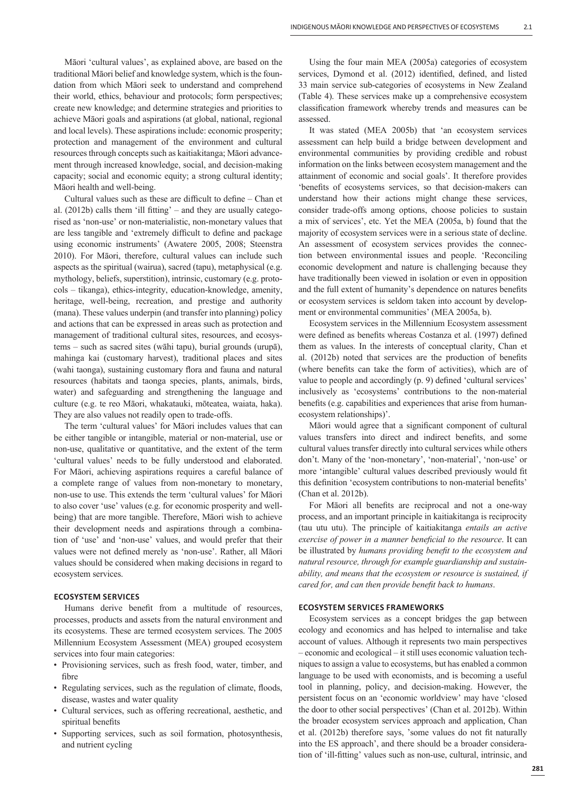Māori 'cultural values', as explained above, are based on the traditional Māori belief and knowledge system, which is the foundation from which Māori seek to understand and comprehend their world, ethics, behaviour and protocols; form perspectives; create new knowledge; and determine strategies and priorities to achieve Māori goals and aspirations (at global, national, regional and local levels). These aspirations include: economic prosperity; protection and management of the environment and cultural resources through concepts such as kaitiakitanga; Māori advancement through increased knowledge, social, and decision-making capacity; social and economic equity; a strong cultural identity; Māori health and well-being.

Cultural values such as these are difficult to define  $-$  Chan et al.  $(2012b)$  calls them 'ill fitting' – and they are usually categorised as 'non-use' or non-materialistic, non-monetary values that are less tangible and 'extremely difficult to define and package using economic instruments' (Awatere 2005, 2008; Steenstra 2010). For Māori, therefore, cultural values can include such aspects as the spiritual (wairua), sacred (tapu), metaphysical (e.g. mythology, beliefs, superstition), intrinsic, customary (e.g. protocols – tikanga), ethics-integrity, education-knowledge, amenity, heritage, well-being, recreation, and prestige and authority (mana). These values underpin (and transfer into planning) policy and actions that can be expressed in areas such as protection and management of traditional cultural sites, resources, and ecosystems – such as sacred sites (wāhi tapu), burial grounds (urupā), mahinga kai (customary harvest), traditional places and sites (wahi taonga), sustaining customary flora and fauna and natural resources (habitats and taonga species, plants, animals, birds, water) and safeguarding and strengthening the language and culture (e.g. te reo Māori, whakatauki, mōteatea, waiata, haka). They are also values not readily open to trade-offs.

The term 'cultural values' for Māori includes values that can be either tangible or intangible, material or non-material, use or non-use, qualitative or quantitative, and the extent of the term 'cultural values' needs to be fully understood and elaborated. For Māori, achieving aspirations requires a careful balance of a complete range of values from non-monetary to monetary, non-use to use. This extends the term 'cultural values' for Māori to also cover 'use' values (e.g. for economic prosperity and wellbeing) that are more tangible. Therefore, Māori wish to achieve their development needs and aspirations through a combination of 'use' and 'non-use' values, and would prefer that their values were not defined merely as 'non-use'. Rather, all Māori values should be considered when making decisions in regard to ecosystem services.

# **ECOSYSTEM SERVICES**

Humans derive benefit from a multitude of resources, processes, products and assets from the natural environment and its ecosystems. These are termed ecosystem services. The 2005 Millennium Ecosystem Assessment (MEA) grouped ecosystem services into four main categories:

- Provisioning services, such as fresh food, water, timber, and fibre
- Regulating services, such as the regulation of climate, floods, disease, wastes and water quality
- Cultural services, such as offering recreational, aesthetic, and spiritual benefits
- Supporting services, such as soil formation, photosynthesis, and nutrient cycling

Using the four main MEA (2005a) categories of ecosystem services, Dymond et al. (2012) identified, defined, and listed 33 main service sub-categories of ecosystems in New Zealand (Table 4). These services make up a comprehensive ecosystem classification framework whereby trends and measures can be assessed.

It was stated (MEA 2005b) that 'an ecosystem services assessment can help build a bridge between development and environmental communities by providing credible and robust information on the links between ecosystem management and the attainment of economic and social goals'. It therefore provides 'benefits of ecosystems services, so that decision-makers can understand how their actions might change these services, consider trade-offs among options, choose policies to sustain a mix of services', etc. Yet the MEA (2005a, b) found that the majority of ecosystem services were in a serious state of decline. An assessment of ecosystem services provides the connection between environmental issues and people. 'Reconciling economic development and nature is challenging because they have traditionally been viewed in isolation or even in opposition and the full extent of humanity's dependence on natures benefits or ecosystem services is seldom taken into account by development or environmental communities' (MEA 2005a, b).

Ecosystem services in the Millennium Ecosystem assessment were defined as benefits whereas Costanza et al. (1997) defined them as values. In the interests of conceptual clarity, Chan et al.  $(2012b)$  noted that services are the production of benefits (where benefits can take the form of activities), which are of value to people and accordingly (p. 9) defined 'cultural services' inclusively as 'ecosystems' contributions to the non-material benefits (e.g. capabilities and experiences that arise from humanecosystem relationships)'.

Māori would agree that a significant component of cultural values transfers into direct and indirect benefits, and some cultural values transfer directly into cultural services while others don't. Many of the 'non-monetary', 'non-material', 'non-use' or more 'intangible' cultural values described previously would fit this definition 'ecosystem contributions to non-material benefits' (Chan et al. 2012b).

For Māori all benefits are reciprocal and not a one-way process, and an important principle in kaitiakitanga is reciprocity (tau utu utu). The principle of kaitiakitanga *entails an active exercise of power in a manner beneficial to the resource*. It can be illustrated by *humans providing benefit to the ecosystem and natural resource, through for example guardianship and sustainability, and means that the ecosystem or resource is sustained, if cared for, and can then provide benefit back to humans.* 

## **ECOSYSTEM SERVICES FRAMEWORKS**

Ecosystem services as a concept bridges the gap between ecology and economics and has helped to internalise and take account of values. Although it represents two main perspectives – economic and ecological – it still uses economic valuation techniques to assign a value to ecosystems, but has enabled a common language to be used with economists, and is becoming a useful tool in planning, policy, and decision-making. However, the persistent focus on an 'economic worldview' may have 'closed the door to other social perspectives' (Chan et al. 2012b). Within the broader ecosystem services approach and application, Chan et al. (2012b) therefore says, 'some values do not fit naturally into the ES approach', and there should be a broader consideration of 'ill-fitting' values such as non-use, cultural, intrinsic, and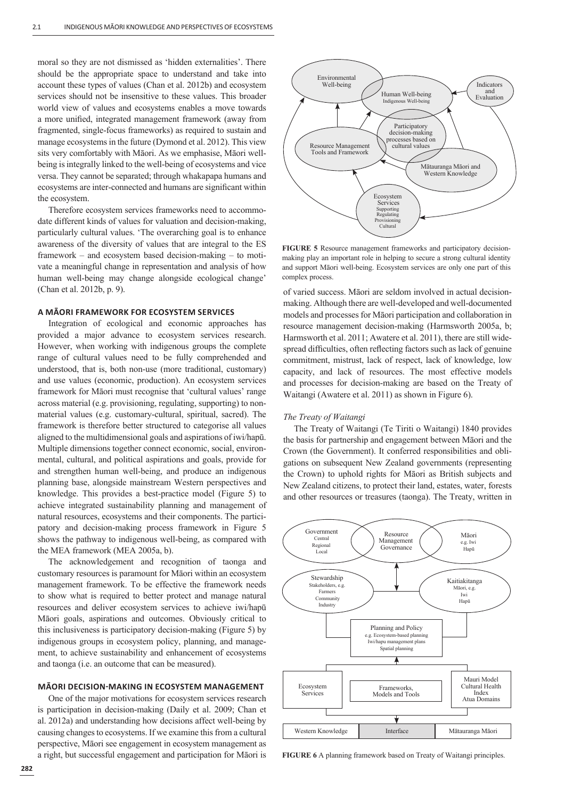moral so they are not dismissed as 'hidden externalities'. There should be the appropriate space to understand and take into account these types of values (Chan et al. 2012b) and ecosystem services should not be insensitive to these values. This broader world view of values and ecosystems enables a move towards a more unified, integrated management framework (away from fragmented, single-focus frameworks) as required to sustain and manage ecosystems in the future (Dymond et al. 2012). This view sits very comfortably with Māori. As we emphasise, Māori wellbeing is integrally linked to the well-being of ecosystems and vice versa. They cannot be separated; through whakapapa humans and ecosystems are inter-connected and humans are significant within the ecosystem.

Therefore ecosystem services frameworks need to accommodate different kinds of values for valuation and decision-making, particularly cultural values. 'The overarching goal is to enhance awareness of the diversity of values that are integral to the ES framework – and ecosystem based decision-making – to motivate a meaningful change in representation and analysis of how human well-being may change alongside ecological change' (Chan et al. 2012b, p. 9).

## **A MĀORI FRAMEWORK FOR ECOSYSTEM SERVICES**

Integration of ecological and economic approaches has provided a major advance to ecosystem services research. However, when working with indigenous groups the complete range of cultural values need to be fully comprehended and understood, that is, both non-use (more traditional, customary) and use values (economic, production). An ecosystem services framework for Māori must recognise that 'cultural values' range across material (e.g. provisioning, regulating, supporting) to nonmaterial values (e.g. customary-cultural, spiritual, sacred). The framework is therefore better structured to categorise all values aligned to the multidimensional goals and aspirations of iwi/hapū. Multiple dimensions together connect economic, social, environmental, cultural, and political aspirations and goals, provide for and strengthen human well-being, and produce an indigenous planning base, alongside mainstream Western perspectives and knowledge. This provides a best-practice model (Figure 5) to achieve integrated sustainability planning and management of natural resources, ecosystems and their components. The participatory and decision-making process framework in Figure 5 shows the pathway to indigenous well-being, as compared with the MEA framework (MEA 2005a, b).

The acknowledgement and recognition of taonga and customary resources is paramount for Māori within an ecosystem management framework. To be effective the framework needs to show what is required to better protect and manage natural resources and deliver ecosystem services to achieve iwi/hapū Māori goals, aspirations and outcomes. Obviously critical to this inclusiveness is participatory decision-making (Figure 5) by indigenous groups in ecosystem policy, planning, and management, to achieve sustainability and enhancement of ecosystems and taonga (i.e. an outcome that can be measured).

## **MĀORI DECISIONͳMAKING IN ECOSYSTEM MANAGEMENT**

One of the major motivations for ecosystem services research is participation in decision-making (Daily et al. 2009; Chan et al. 2012a) and understanding how decisions affect well-being by causing changes to ecosystems. If we examine this from a cultural perspective, Māori see engagement in ecosystem management as a right, but successful engagement and participation for Māori is



**FIGURE 5** Resource management frameworks and participatory decisionmaking play an important role in helping to secure a strong cultural identity and support Māori well-being. Ecosystem services are only one part of this complex process.

of varied success. Māori are seldom involved in actual decisionmaking. Although there are well-developed and well-documented models and processes for Māori participation and collaboration in resource management decision-making (Harmsworth 2005a, b; Harmsworth et al. 2011; Awatere et al. 2011), there are still widespread difficulties, often reflecting factors such as lack of genuine commitment, mistrust, lack of respect, lack of knowledge, low capacity, and lack of resources. The most effective models and processes for decision-making are based on the Treaty of Waitangi (Awatere et al. 2011) as shown in Figure 6).

#### *The Treaty of Waitangi*

The Treaty of Waitangi (Te Tiriti o Waitangi) 1840 provides the basis for partnership and engagement between Māori and the Crown (the Government). It conferred responsibilities and obligations on subsequent New Zealand governments (representing the Crown) to uphold rights for Māori as British subjects and New Zealand citizens, to protect their land, estates, water, forests and other resources or treasures (taonga). The Treaty, written in



**FIGURE 6** A planning framework based on Treaty of Waitangi principles.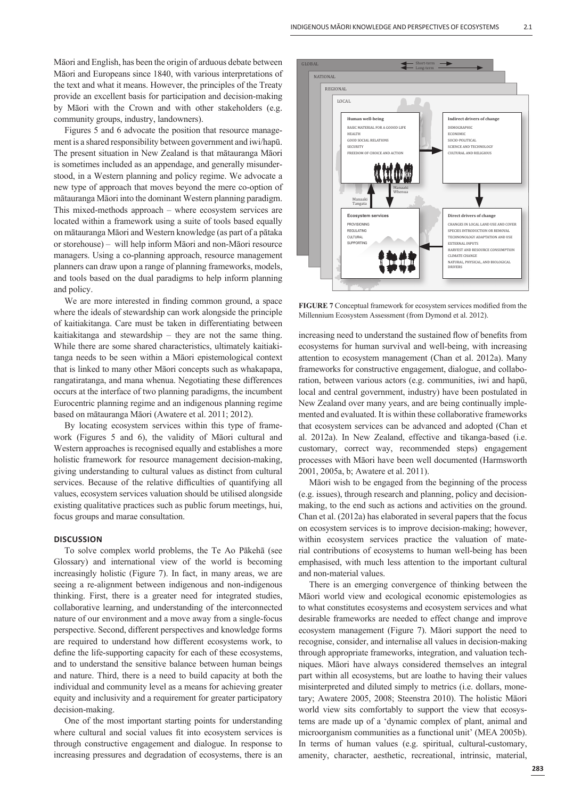Māori and English, has been the origin of arduous debate between Māori and Europeans since 1840, with various interpretations of the text and what it means. However, the principles of the Treaty provide an excellent basis for participation and decision-making by Māori with the Crown and with other stakeholders (e.g. community groups, industry, landowners).

Figures 5 and 6 advocate the position that resource management is a shared responsibility between government and iwi/hapū. The present situation in New Zealand is that mātauranga Māori is sometimes included as an appendage, and generally misunderstood, in a Western planning and policy regime. We advocate a new type of approach that moves beyond the mere co-option of mātauranga Māori into the dominant Western planning paradigm. This mixed-methods approach – where ecosystem services are located within a framework using a suite of tools based equally on mātauranga Māori and Western knowledge (as part of a pātaka or storehouse) – will help inform Māori and non-Māori resource managers. Using a co-planning approach, resource management planners can draw upon a range of planning frameworks, models, and tools based on the dual paradigms to help inform planning and policy.

We are more interested in finding common ground, a space where the ideals of stewardship can work alongside the principle of kaitiakitanga. Care must be taken in differentiating between kaitiakitanga and stewardship – they are not the same thing. While there are some shared characteristics, ultimately kaitiakitanga needs to be seen within a Māori epistemological context that is linked to many other Māori concepts such as whakapapa, rangatiratanga, and mana whenua. Negotiating these differences occurs at the interface of two planning paradigms, the incumbent Eurocentric planning regime and an indigenous planning regime based on mātauranga Māori (Awatere et al. 2011; 2012).

By locating ecosystem services within this type of framework (Figures 5 and 6), the validity of Māori cultural and Western approaches is recognised equally and establishes a more holistic framework for resource management decision-making, giving understanding to cultural values as distinct from cultural services. Because of the relative difficulties of quantifying all values, ecosystem services valuation should be utilised alongside existing qualitative practices such as public forum meetings, hui, focus groups and marae consultation.

#### **DISCUSSION**

To solve complex world problems, the Te Ao Pākehā (see Glossary) and international view of the world is becoming increasingly holistic (Figure 7). In fact, in many areas, we are seeing a re-alignment between indigenous and non-indigenous thinking. First, there is a greater need for integrated studies, collaborative learning, and understanding of the interconnected nature of our environment and a move away from a single-focus perspective. Second, different perspectives and knowledge forms are required to understand how different ecosystems work, to define the life-supporting capacity for each of these ecosystems, and to understand the sensitive balance between human beings and nature. Third, there is a need to build capacity at both the individual and community level as a means for achieving greater equity and inclusivity and a requirement for greater participatory decision-making.

One of the most important starting points for understanding where cultural and social values fit into ecosystem services is through constructive engagement and dialogue. In response to increasing pressures and degradation of ecosystems, there is an



FIGURE 7 Conceptual framework for ecosystem services modified from the Millennium Ecosystem Assessment (from Dymond et al. 2012).

increasing need to understand the sustained flow of benefits from ecosystems for human survival and well-being, with increasing attention to ecosystem management (Chan et al. 2012a). Many frameworks for constructive engagement, dialogue, and collaboration, between various actors (e.g. communities, iwi and hapū, local and central government, industry) have been postulated in New Zealand over many years, and are being continually implemented and evaluated. It is within these collaborative frameworks that ecosystem services can be advanced and adopted (Chan et al. 2012a). In New Zealand, effective and tikanga-based (i.e. customary, correct way, recommended steps) engagement processes with Māori have been well documented (Harmsworth 2001, 2005a, b; Awatere et al. 2011).

Māori wish to be engaged from the beginning of the process (e.g. issues), through research and planning, policy and decisionmaking, to the end such as actions and activities on the ground. Chan et al. (2012a) has elaborated in several papers that the focus on ecosystem services is to improve decision-making; however, within ecosystem services practice the valuation of material contributions of ecosystems to human well-being has been emphasised, with much less attention to the important cultural and non-material values.

There is an emerging convergence of thinking between the Māori world view and ecological economic epistemologies as to what constitutes ecosystems and ecosystem services and what desirable frameworks are needed to effect change and improve ecosystem management (Figure 7). Māori support the need to recognise, consider, and internalise all values in decision-making through appropriate frameworks, integration, and valuation techniques. Māori have always considered themselves an integral part within all ecosystems, but are loathe to having their values misinterpreted and diluted simply to metrics (i.e. dollars, monetary; Awatere 2005, 2008; Steenstra 2010). The holistic Māori world view sits comfortably to support the view that ecosystems are made up of a 'dynamic complex of plant, animal and microorganism communities as a functional unit' (MEA 2005b). In terms of human values (e.g. spiritual, cultural-customary, amenity, character, aesthetic, recreational, intrinsic, material,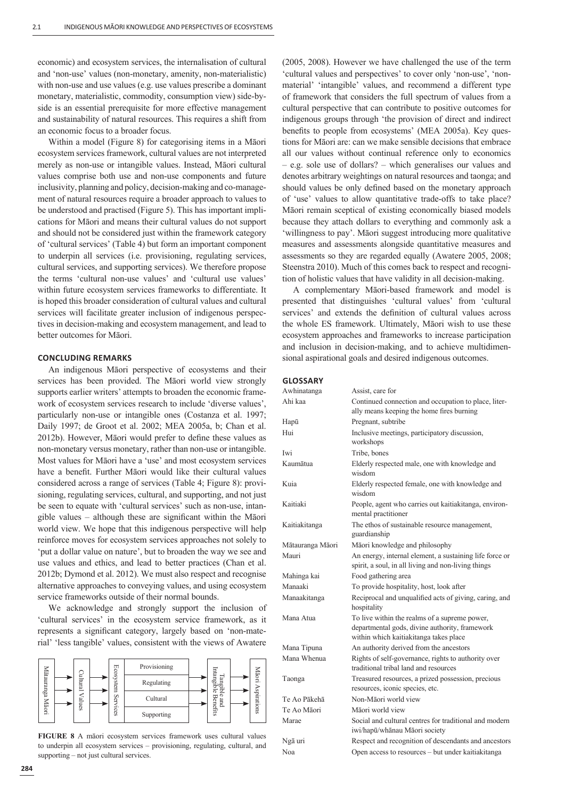economic) and ecosystem services, the internalisation of cultural and 'non-use' values (non-monetary, amenity, non-materialistic) with non-use and use values (e.g. use values prescribe a dominant monetary, materialistic, commodity, consumption view) side-byside is an essential prerequisite for more effective management and sustainability of natural resources. This requires a shift from an economic focus to a broader focus.

Within a model (Figure 8) for categorising items in a Māori ecosystem services framework, cultural values are not interpreted merely as non-use or intangible values. Instead, Māori cultural values comprise both use and non-use components and future inclusivity, planning and policy, decision-making and co-management of natural resources require a broader approach to values to be understood and practised (Figure 5). This has important implications for Māori and means their cultural values do not support and should not be considered just within the framework category of 'cultural services' (Table 4) but form an important component to underpin all services (i.e. provisioning, regulating services, cultural services, and supporting services). We therefore propose the terms 'cultural non-use values' and 'cultural use values' within future ecosystem services frameworks to differentiate. It is hoped this broader consideration of cultural values and cultural services will facilitate greater inclusion of indigenous perspectives in decision-making and ecosystem management, and lead to better outcomes for Māori.

## **CONCLUDING REMARKS**

An indigenous Māori perspective of ecosystems and their services has been provided. The Māori world view strongly supports earlier writers' attempts to broaden the economic framework of ecosystem services research to include 'diverse values', particularly non-use or intangible ones (Costanza et al. 1997; Daily 1997; de Groot et al. 2002; MEA 2005a, b; Chan et al. 2012b). However, Māori would prefer to define these values as non-monetary versus monetary, rather than non-use or intangible. Most values for Māori have a 'use' and most ecosystem services have a benefit. Further Māori would like their cultural values considered across a range of services (Table 4; Figure 8): provisioning, regulating services, cultural, and supporting, and not just be seen to equate with 'cultural services' such as non-use, intangible values – although these are significant within the Māori world view. We hope that this indigenous perspective will help reinforce moves for ecosystem services approaches not solely to 'put a dollar value on nature', but to broaden the way we see and use values and ethics, and lead to better practices (Chan et al. 2012b; Dymond et al. 2012). We must also respect and recognise alternative approaches to conveying values, and using ecosystem service frameworks outside of their normal bounds.

We acknowledge and strongly support the inclusion of 'cultural services' in the ecosystem service framework, as it represents a significant category, largely based on 'non-material' 'less tangible' values, consistent with the views of Awatere



**FIGURE 8** A māori ecosystem services framework uses cultural values to underpin all ecosystem services – provisioning, regulating, cultural, and supporting – not just cultural services.

(2005, 2008). However we have challenged the use of the term 'cultural values and perspectives' to cover only 'non-use', 'nonmaterial' 'intangible' values, and recommend a different type of framework that considers the full spectrum of values from a cultural perspective that can contribute to positive outcomes for indigenous groups through 'the provision of direct and indirect benefits to people from ecosystems' (MEA 2005a). Key questions for Māori are: can we make sensible decisions that embrace all our values without continual reference only to economics – e.g. sole use of dollars? – which generalises our values and denotes arbitrary weightings on natural resources and taonga; and should values be only defined based on the monetary approach of 'use' values to allow quantitative trade-offs to take place? Māori remain sceptical of existing economically biased models because they attach dollars to everything and commonly ask a 'willingness to pay'. Māori suggest introducing more qualitative measures and assessments alongside quantitative measures and assessments so they are regarded equally (Awatere 2005, 2008; Steenstra 2010). Much of this comes back to respect and recognition of holistic values that have validity in all decision-making.

A complementary Māori-based framework and model is presented that distinguishes 'cultural values' from 'cultural services' and extends the definition of cultural values across the whole ES framework. Ultimately, Māori wish to use these ecosystem approaches and frameworks to increase participation and inclusion in decision-making, and to achieve multidimensional aspirational goals and desired indigenous outcomes.

# **GLOSSARY**

| Awhinatanga      | Assist, care for                                                                                                                          |
|------------------|-------------------------------------------------------------------------------------------------------------------------------------------|
| Ahi kaa          | Continued connection and occupation to place, liter-<br>ally means keeping the home fires burning                                         |
| Hapū             | Pregnant, subtribe                                                                                                                        |
| Hui              | Inclusive meetings, participatory discussion,<br>workshops                                                                                |
| <b>Iwi</b>       | Tribe, bones                                                                                                                              |
| Kaumātua         | Elderly respected male, one with knowledge and<br>wisdom                                                                                  |
| Kuia             | Elderly respected female, one with knowledge and<br>wisdom                                                                                |
| Kaitiaki         | People, agent who carries out kaitiakitanga, environ-<br>mental practitioner                                                              |
| Kaitiakitanga    | The ethos of sustainable resource management,<br>guardianship                                                                             |
| Mātauranga Māori | Māori knowledge and philosophy                                                                                                            |
| Mauri            | An energy, internal element, a sustaining life force or<br>spirit, a soul, in all living and non-living things                            |
| Mahinga kai      | Food gathering area                                                                                                                       |
| Manaaki          | To provide hospitality, host, look after                                                                                                  |
| Manaakitanga     | Reciprocal and unqualified acts of giving, caring, and<br>hospitality                                                                     |
| Mana Atua        | To live within the realms of a supreme power,<br>departmental gods, divine authority, framework<br>within which kaitiakitanga takes place |
| Mana Tipuna      | An authority derived from the ancestors                                                                                                   |
| Mana Whenua      | Rights of self-governance, rights to authority over<br>traditional tribal land and resources                                              |
| Taonga           | Treasured resources, a prized possession, precious<br>resources, iconic species, etc.                                                     |
| Te Ao Pākehā     | Non-Māori world view                                                                                                                      |
| Te Ao Māori      | Māori world view                                                                                                                          |
| Marae            | Social and cultural centres for traditional and modern<br>iwi/hapū/whānau Māori society                                                   |
| Ngā uri          | Respect and recognition of descendants and ancestors                                                                                      |
| Noa              | Open access to resources – but under kaitiakitanga                                                                                        |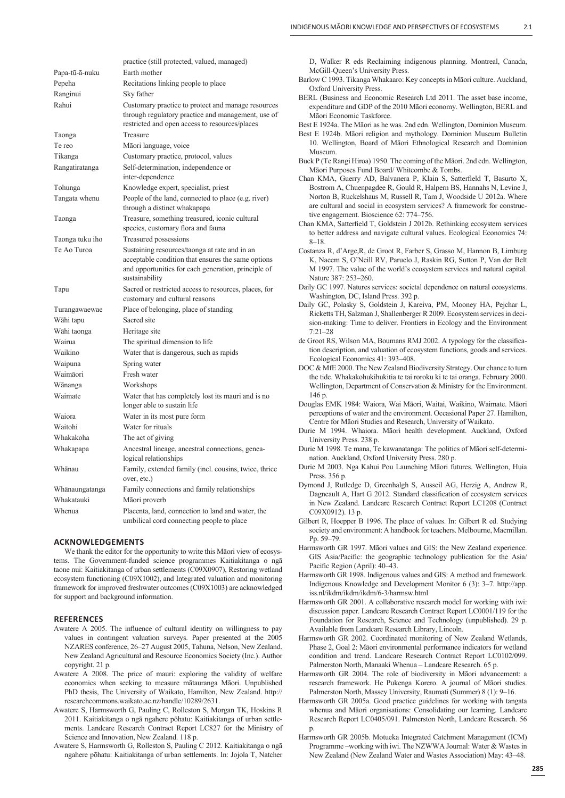|                 | practice (still protected, valued, managed)                                                                                                                                  |
|-----------------|------------------------------------------------------------------------------------------------------------------------------------------------------------------------------|
| Papa-tū-ā-nuku  | Earth mother                                                                                                                                                                 |
| Pepeha          | Recitations linking people to place                                                                                                                                          |
| Ranginui        | Sky father                                                                                                                                                                   |
| Rahui           | Customary practice to protect and manage resources<br>through regulatory practice and management, use of<br>restricted and open access to resources/places                   |
| Taonga          | Treasure                                                                                                                                                                     |
| Te reo          | Māori language, voice                                                                                                                                                        |
| Tikanga         | Customary practice, protocol, values                                                                                                                                         |
| Rangatiratanga  | Self-determination, independence or<br>inter-dependence                                                                                                                      |
| Tohunga         | Knowledge expert, specialist, priest                                                                                                                                         |
| Tangata whenu   | People of the land, connected to place (e.g. river)<br>through a distinct whakapapa                                                                                          |
| Taonga          | Treasure, something treasured, iconic cultural<br>species, customary flora and fauna                                                                                         |
| Taonga tuku iho | Treasured possessions                                                                                                                                                        |
| Te Ao Turoa     | Sustaining resources/taonga at rate and in an<br>acceptable condition that ensures the same options<br>and opportunities for each generation, principle of<br>sustainability |
| Tapu            | Sacred or restricted access to resources, places, for<br>customary and cultural reasons                                                                                      |
| Turangawaewae   | Place of belonging, place of standing                                                                                                                                        |
| Wāhi tapu       | Sacred site                                                                                                                                                                  |
| Wāhi taonga     | Heritage site                                                                                                                                                                |
| Wairua          | The spiritual dimension to life                                                                                                                                              |
| Waikino         | Water that is dangerous, such as rapids                                                                                                                                      |
| Waipuna         | Spring water                                                                                                                                                                 |
| Waimāori        | Fresh water                                                                                                                                                                  |
| Wānanga         | Workshops                                                                                                                                                                    |
| Waimate         | Water that has completely lost its mauri and is no<br>longer able to sustain life                                                                                            |
| Waiora          | Water in its most pure form                                                                                                                                                  |
| Waitohi         | Water for rituals                                                                                                                                                            |
| Whakakoha       | The act of giving                                                                                                                                                            |
| Whakapapa       | Ancestral lineage, ancestral connections, genea-<br>logical relationships                                                                                                    |
| Whānau          | Family, extended family (incl. cousins, twice, thrice<br>over, etc.)                                                                                                         |
| Whānaungatanga  | Family connections and family relationships                                                                                                                                  |
| Whakatauki      | Māori proverb                                                                                                                                                                |
| Whenua          | Placenta, land, connection to land and water, the<br>umbilical cord connecting people to place                                                                               |

#### **ACKNOWLEDGEMENTS**

We thank the editor for the opportunity to write this Māori view of ecosystems. The Government-funded science programmes Kaitiakitanga o ngā taone nui: Kaitiakitanga of urban settlements (C09X0907), Restoring wetland ecosystem functioning (C09X1002), and Integrated valuation and monitoring framework for improved freshwater outcomes (C09X1003) are acknowledged for support and background information.

#### **REFERENCES**

- Awatere A 2005. The influence of cultural identity on willingness to pay values in contingent valuation surveys. Paper presented at the 2005 NZARES conference, 26–27 August 2005, Tahuna, Nelson, New Zealand. New Zealand Agricultural and Resource Economics Society (Inc.). Author copyright. 21 p.
- Awatere A 2008. The price of mauri: exploring the validity of welfare economics when seeking to measure mātauranga Māori. Unpublished PhD thesis, The University of Waikato, Hamilton, New Zealand. http:// researchcommons.waikato.ac.nz/handle/10289/2631.
- Awatere S, Harmsworth G, Pauling C, Rolleston S, Morgan TK, Hoskins R 2011. Kaitiakitanga o ngā ngahere pōhatu: Kaitiakitanga of urban settlements. Landcare Research Contract Report LC827 for the Ministry of Science and Innovation, New Zealand. 118 p.
- Awatere S, Harmsworth G, Rolleston S, Pauling C 2012. Kaitiakitanga o ngā ngahere pōhatu: Kaitiakitanga of urban settlements. In: Jojola T, Natcher

D, Walker R eds Reclaiming indigenous planning. Montreal, Canada, McGill-Queen's University Press.

- Barlow C 1993. Tikanga Whakaaro: Key concepts in Māori culture. Auckland, Oxford University Press.
- BERL (Business and Economic Research Ltd 2011. The asset base income, expenditure and GDP of the 2010 Māori economy. Wellington, BERL and Māori Economic Taskforce.
- Best E 1924a. The Māori as he was. 2nd edn. Wellington, Dominion Museum.
- Best E 1924b. Māori religion and mythology. Dominion Museum Bulletin 10. Wellington, Board of Māori Ethnological Research and Dominion Museum.

Buck P (Te Rangi Hiroa) 1950. The coming of the Māori. 2nd edn. Wellington, Māori Purposes Fund Board/ Whitcombe & Tombs.

- Chan KMA, Guerry AD, Balvanera P, Klain S, Satterfield T, Basurto X, Bostrom A, Chuenpagdee R, Gould R, Halpern BS, Hannahs N, Levine J, Norton B, Ruckelshaus M, Russell R, Tam J, Woodside U 2012a. Where are cultural and social in ecosystem services? A framework for constructive engagement. Bioscience 62: 774–756.
- Chan KMA, Satterfield T, Goldstein J 2012b. Rethinking ecosystem services to better address and navigate cultural values. Ecological Economics 74: 8–18.
- Costanza R, d'Arge,R, de Groot R, Farber S, Grasso M, Hannon B, Limburg K, Naeem S, O'Neill RV, Paruelo J, Raskin RG, Sutton P, Van der Belt M 1997. The value of the world's ecosystem services and natural capital. Nature 387: 253–260.

Daily GC 1997. Natures services: societal dependence on natural ecosystems. Washington, DC, Island Press. 392 p.

- Daily GC, Polasky S, Goldstein J, Kareiva, PM, Mooney HA, Pejchar L, Ricketts TH, Salzman J, Shallenberger R 2009. Ecosystem services in decision-making: Time to deliver. Frontiers in Ecology and the Environment 7:21–28
- de Groot RS, Wilson MA, Boumans RMJ 2002. A typology for the classification description, and valuation of ecosystem functions, goods and services. Ecological Economics 41: 393–408.
- DOC & MfE 2000. The New Zealand Biodiversity Strategy. Our chance to turn the tide. Whakakohukihukitia te tai roroku ki te tai oranga. February 2000. Wellington, Department of Conservation & Ministry for the Environment. 146 p.
- Douglas EMK 1984: Waiora, Wai Māori, Waitai, Waikino, Waimate. Māori perceptions of water and the environment. Occasional Paper 27. Hamilton, Centre for Māori Studies and Research, University of Waikato.
- Durie M 1994. Whaiora. Māori health development. Auckland, Oxford University Press. 238 p.

Durie M 1998. Te mana, Te kawanatanga: The politics of Māori self-determination. Auckland, Oxford University Press. 280 p.

- Durie M 2003. Nga Kahui Pou Launching Māori futures. Wellington, Huia Press. 356 p.
- Dymond J, Rutledge D, Greenhalgh S, Ausseil AG, Herzig A, Andrew R, Dagneault A, Hart G 2012. Standard classification of ecosystem services in New Zealand. Landcare Research Contract Report LC1208 (Contract C09X0912). 13 p.
- Gilbert R, Hoepper B 1996. The place of values. In: Gilbert R ed. Studying society and environment: A handbook for teachers. Melbourne, Macmillan. Pp. 59–79.
- Harmsworth GR 1997. Māori values and GIS: the New Zealand experience. GIS Asia/Pacific: the geographic technology publication for the Asia/ Pacific Region (April): 40-43.
- Harmsworth GR 1998. Indigenous values and GIS: A method and framework. Indigenous Knowledge and Development Monitor 6 (3): 3–7. http://app. iss.nl/ikdm/ikdm/ikdm/6-3/harmsw.html
- Harmsworth GR 2001. A collaborative research model for working with iwi: discussion paper. Landcare Research Contract Report LC0001/119 for the Foundation for Research, Science and Technology (unpublished). 29 p. Available from Landcare Research Library, Lincoln.
- Harmsworth GR 2002. Coordinated monitoring of New Zealand Wetlands, Phase 2, Goal 2: Māori environmental performance indicators for wetland condition and trend. Landcare Research Contract Report LC0102/099. Palmerston North, Manaaki Whenua – Landcare Research. 65 p.
- Harmsworth GR 2004. The role of biodiversity in Māori advancement: a research framework. He Pukenga Korero. A journal of Māori studies. Palmerston North, Massey University, Raumati (Summer) 8 (1): 9–16.
- Harmsworth GR 2005a. Good practice guidelines for working with tangata whenua and Māori organisations: Consolidating our learning. Landcare Research Report LC0405/091. Palmerston North, Landcare Research. 56 p.
- Harmsworth GR 2005b. Motueka Integrated Catchment Management (ICM) Programme –working with iwi. The NZWWA Journal: Water & Wastes in New Zealand (New Zealand Water and Wastes Association) May: 43–48.